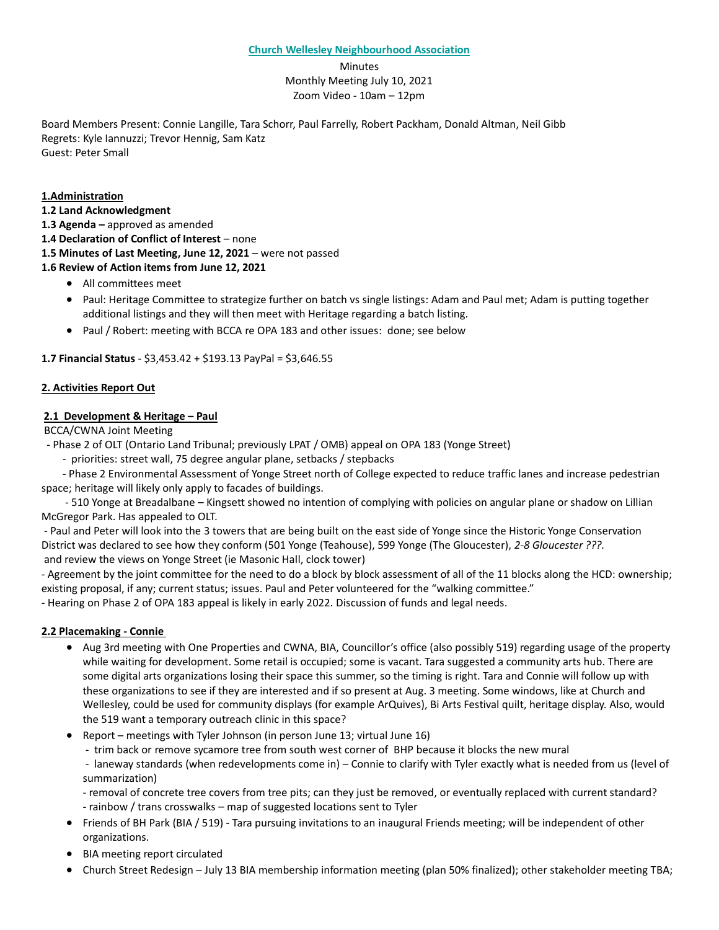#### **Church Wellesley Neighbourhood Association**

Minutes Monthly Meeting July 10, 2021 Zoom Video - 10am – 12pm

Board Members Present: Connie Langille, Tara Schorr, Paul Farrelly, Robert Packham, Donald Altman, Neil Gibb Regrets: Kyle Iannuzzi; Trevor Hennig, Sam Katz Guest: Peter Small

### **1.Administration**

**1.2 Land Acknowledgment** 

**1.3 Agenda –** approved as amended

**1.4 Declaration of Conflict of Interest** – none

**1.5 Minutes of Last Meeting, June 12, 2021** – were not passed

- **1.6 Review of Action items from June 12, 2021**
	- All committees meet
	- Paul: Heritage Committee to strategize further on batch vs single listings: Adam and Paul met; Adam is putting together additional listings and they will then meet with Heritage regarding a batch listing.
	- Paul / Robert: meeting with BCCA re OPA 183 and other issues: done; see below

# **1.7 Financial Status** - \$3,453.42 + \$193.13 PayPal = \$3,646.55

# **2. Activities Report Out**

# **2.1 Development & Heritage – Paul**

BCCA/CWNA Joint Meeting

- Phase 2 of OLT (Ontario Land Tribunal; previously LPAT / OMB) appeal on OPA 183 (Yonge Street)

- priorities: street wall, 75 degree angular plane, setbacks / stepbacks

 - Phase 2 Environmental Assessment of Yonge Street north of College expected to reduce traffic lanes and increase pedestrian space; heritage will likely only apply to facades of buildings.

 - 510 Yonge at Breadalbane – Kingsett showed no intention of complying with policies on angular plane or shadow on Lillian McGregor Park. Has appealed to OLT.

- Paul and Peter will look into the 3 towers that are being built on the east side of Yonge since the Historic Yonge Conservation District was declared to see how they conform (501 Yonge (Teahouse), 599 Yonge (The Gloucester), *2-8 Gloucester ???.*  and review the views on Yonge Street (ie Masonic Hall, clock tower)

- Agreement by the joint committee for the need to do a block by block assessment of all of the 11 blocks along the HCD: ownership; existing proposal, if any; current status; issues. Paul and Peter volunteered for the "walking committee."

- Hearing on Phase 2 of OPA 183 appeal is likely in early 2022. Discussion of funds and legal needs.

### **2.2 Placemaking - Connie**

- Aug 3rd meeting with One Properties and CWNA, BIA, Councillor's office (also possibly 519) regarding usage of the property while waiting for development. Some retail is occupied; some is vacant. Tara suggested a community arts hub. There are some digital arts organizations losing their space this summer, so the timing is right. Tara and Connie will follow up with these organizations to see if they are interested and if so present at Aug. 3 meeting. Some windows, like at Church and Wellesley, could be used for community displays (for example ArQuives), Bi Arts Festival quilt, heritage display. Also, would the 519 want a temporary outreach clinic in this space?
- Report meetings with Tyler Johnson (in person June 13; virtual June 16)
	- trim back or remove sycamore tree from south west corner of BHP because it blocks the new mural

- laneway standards (when redevelopments come in) – Connie to clarify with Tyler exactly what is needed from us (level of summarization)

- removal of concrete tree covers from tree pits; can they just be removed, or eventually replaced with current standard?
- rainbow / trans crosswalks map of suggested locations sent to Tyler
- Friends of BH Park (BIA / 519) Tara pursuing invitations to an inaugural Friends meeting; will be independent of other organizations.
- BIA meeting report circulated
- Church Street Redesign July 13 BIA membership information meeting (plan 50% finalized); other stakeholder meeting TBA;